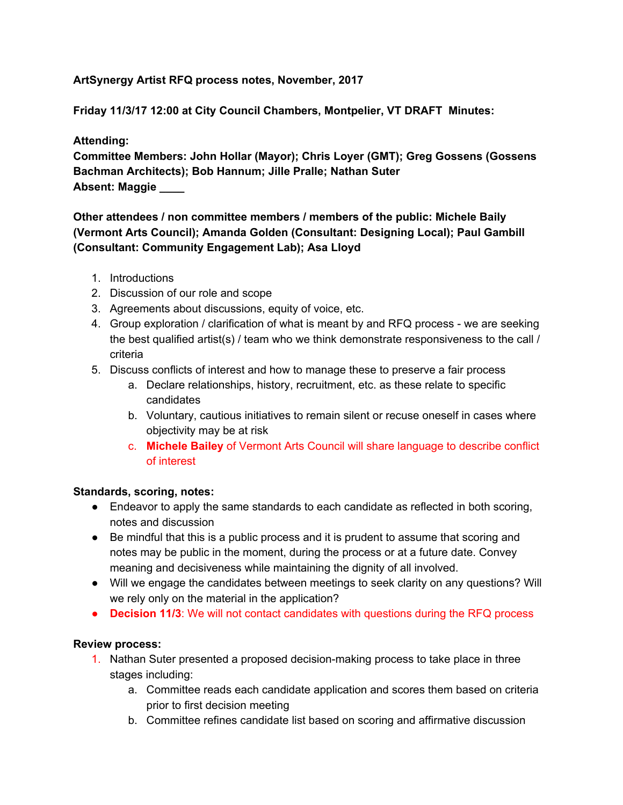## **ArtSynergy Artist RFQ process notes, November, 2017**

**Friday 11/3/17 12:00 at City Council Chambers, Montpelier, VT DRAFT Minutes:**

## **Attending:**

**Committee Members: John Hollar (Mayor); Chris Loyer (GMT); Greg Gossens (Gossens Bachman Architects); Bob Hannum; Jille Pralle; Nathan Suter Absent: Maggie \_\_\_\_**

# **Other attendees / non committee members / members of the public: Michele Baily (Vermont Arts Council); Amanda Golden (Consultant: Designing Local); Paul Gambill (Consultant: Community Engagement Lab); Asa Lloyd**

- 1. Introductions
- 2. Discussion of our role and scope
- 3. Agreements about discussions, equity of voice, etc.
- 4. Group exploration / clarification of what is meant by and RFQ process we are seeking the best qualified artist(s) / team who we think demonstrate responsiveness to the call / criteria
- 5. Discuss conflicts of interest and how to manage these to preserve a fair process
	- a. Declare relationships, history, recruitment, etc. as these relate to specific candidates
	- b. Voluntary, cautious initiatives to remain silent or recuse oneself in cases where objectivity may be at risk
	- c. **Michele Bailey** of Vermont Arts Council will share language to describe conflict of interest

## **Standards, scoring, notes:**

- Endeavor to apply the same standards to each candidate as reflected in both scoring, notes and discussion
- Be mindful that this is a public process and it is prudent to assume that scoring and notes may be public in the moment, during the process or at a future date. Convey meaning and decisiveness while maintaining the dignity of all involved.
- Will we engage the candidates between meetings to seek clarity on any questions? Will we rely only on the material in the application?
- **Decision 11/3**: We will not contact candidates with questions during the RFQ process

## **Review process:**

- 1. Nathan Suter presented a proposed decision-making process to take place in three stages including:
	- a. Committee reads each candidate application and scores them based on criteria prior to first decision meeting
	- b. Committee refines candidate list based on scoring and affirmative discussion